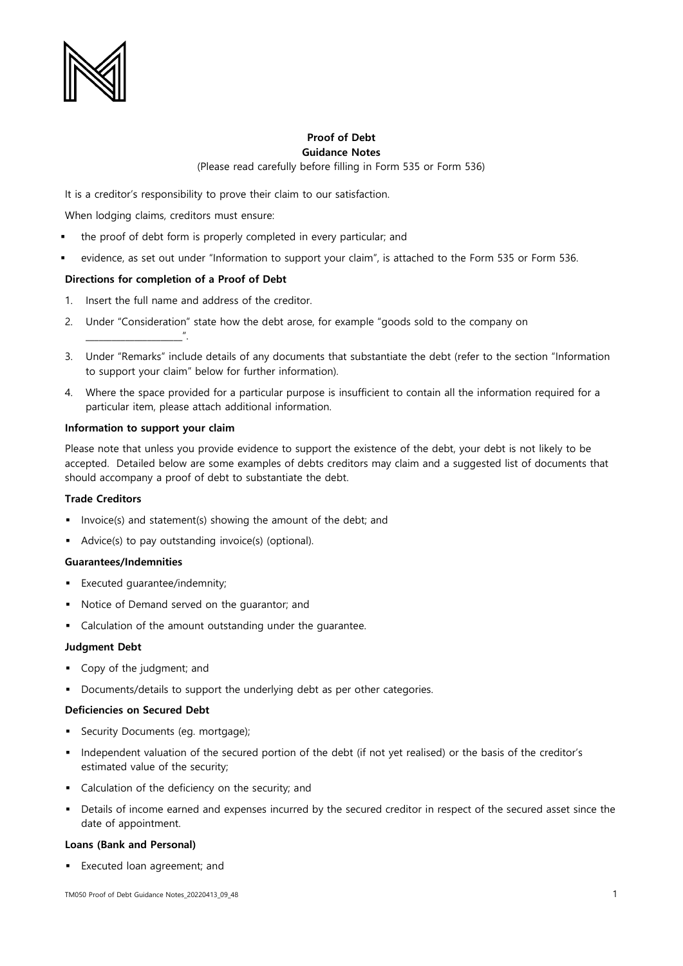

# **Proof of Debt Guidance Notes**

(Please read carefully before filling in Form 535 or Form 536)

It is a creditor's responsibility to prove their claim to our satisfaction.

When lodging claims, creditors must ensure:

- the proof of debt form is properly completed in every particular; and
- evidence, as set out under "Information to support your claim", is attached to the Form 535 or Form 536.

# **Directions for completion of a Proof of Debt**

- 1. Insert the full name and address of the creditor.
- 2. Under "Consideration" state how the debt arose, for example "goods sold to the company on
- 3. Under "Remarks" include details of any documents that substantiate the debt (refer to the section "Information to support your claim" below for further information).
- 4. Where the space provided for a particular purpose is insufficient to contain all the information required for a particular item, please attach additional information.

# **Information to support your claim**

\_\_\_\_\_\_\_\_\_\_\_\_\_\_\_\_\_\_\_\_\_\_".

Please note that unless you provide evidence to support the existence of the debt, your debt is not likely to be accepted. Detailed below are some examples of debts creditors may claim and a suggested list of documents that should accompany a proof of debt to substantiate the debt.

# **Trade Creditors**

- Invoice(s) and statement(s) showing the amount of the debt; and
- Advice(s) to pay outstanding invoice(s) (optional).

# **Guarantees/Indemnities**

- Executed guarantee/indemnity;
- Notice of Demand served on the guarantor; and
- Calculation of the amount outstanding under the quarantee.

#### **Judgment Debt**

- Copy of the judgment; and
- Documents/details to support the underlying debt as per other categories.

#### **Deficiencies on Secured Debt**

- **•** Security Documents (eg. mortgage);
- Independent valuation of the secured portion of the debt (if not yet realised) or the basis of the creditor's estimated value of the security;
- Calculation of the deficiency on the security; and
- Details of income earned and expenses incurred by the secured creditor in respect of the secured asset since the date of appointment.

#### **Loans (Bank and Personal)**

▪ Executed loan agreement; and